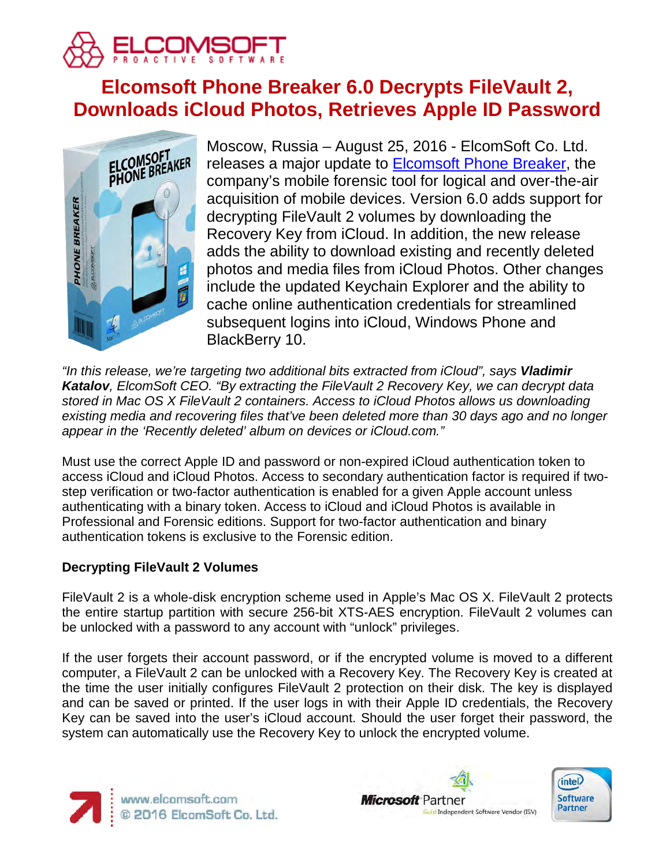

# **Elcomsoft Phone Breaker 6.0 Decrypts FileVault 2, Downloads iCloud Photos, Retrieves Apple ID Password**



Moscow, Russia – August 25, 2016 - ElcomSoft Co. Ltd. releases a major update to [Elcomsoft Phone Breaker,](https://www.elcomsoft.com/eppb.html) the company's mobile forensic tool for logical and over-the-air acquisition of mobile devices. Version 6.0 adds support for decrypting FileVault 2 volumes by downloading the Recovery Key from iCloud. In addition, the new release adds the ability to download existing and recently deleted photos and media files from iCloud Photos. Other changes include the updated Keychain Explorer and the ability to cache online authentication credentials for streamlined subsequent logins into iCloud, Windows Phone and BlackBerry 10.

*"In this release, we're targeting two additional bits extracted from iCloud", says Vladimir Katalov, ElcomSoft CEO. "By extracting the FileVault 2 Recovery Key, we can decrypt data stored in Mac OS X FileVault 2 containers. Access to iCloud Photos allows us downloading existing media and recovering files that've been deleted more than 30 days ago and no longer appear in the 'Recently deleted' album on devices or iCloud.com."*

Must use the correct Apple ID and password or non-expired iCloud authentication token to access iCloud and iCloud Photos. Access to secondary authentication factor is required if twostep verification or two-factor authentication is enabled for a given Apple account unless authenticating with a binary token. Access to iCloud and iCloud Photos is available in Professional and Forensic editions. Support for two-factor authentication and binary authentication tokens is exclusive to the Forensic edition.

# **Decrypting FileVault 2 Volumes**

FileVault 2 is a whole-disk encryption scheme used in Apple's Mac OS X. FileVault 2 protects the entire startup partition with secure 256-bit XTS-AES encryption. FileVault 2 volumes can be unlocked with a password to any account with "unlock" privileges.

If the user forgets their account password, or if the encrypted volume is moved to a different computer, a FileVault 2 can be unlocked with a Recovery Key. The Recovery Key is created at the time the user initially configures FileVault 2 protection on their disk. The key is displayed and can be saved or printed. If the user logs in with their Apple ID credentials, the Recovery Key can be saved into the user's iCloud account. Should the user forget their password, the system can automatically use the Recovery Key to unlock the encrypted volume.





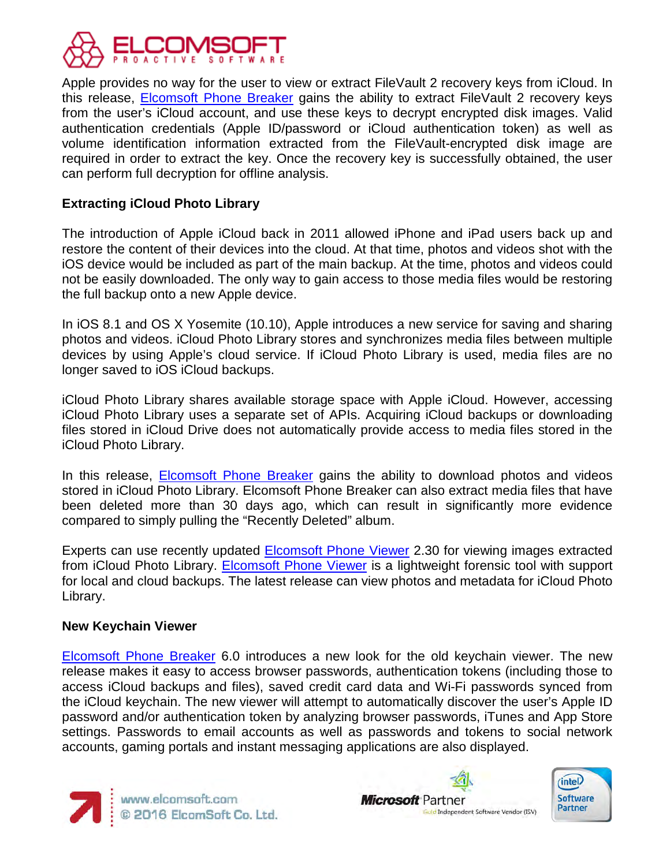

Apple provides no way for the user to view or extract FileVault 2 recovery keys from iCloud. In this release, **Elcomsoft Phone Breaker** gains the ability to extract FileVault 2 recovery keys from the user's iCloud account, and use these keys to decrypt encrypted disk images. Valid authentication credentials (Apple ID/password or iCloud authentication token) as well as volume identification information extracted from the FileVault-encrypted disk image are required in order to extract the key. Once the recovery key is successfully obtained, the user can perform full decryption for offline analysis.

# **Extracting iCloud Photo Library**

The introduction of Apple iCloud back in 2011 allowed iPhone and iPad users back up and restore the content of their devices into the cloud. At that time, photos and videos shot with the iOS device would be included as part of the main backup. At the time, photos and videos could not be easily downloaded. The only way to gain access to those media files would be restoring the full backup onto a new Apple device.

In iOS 8.1 and OS X Yosemite (10.10), Apple introduces a new service for saving and sharing photos and videos. iCloud Photo Library stores and synchronizes media files between multiple devices by using Apple's cloud service. If iCloud Photo Library is used, media files are no longer saved to iOS iCloud backups.

iCloud Photo Library shares available storage space with Apple iCloud. However, accessing iCloud Photo Library uses a separate set of APIs. Acquiring iCloud backups or downloading files stored in iCloud Drive does not automatically provide access to media files stored in the iCloud Photo Library.

In this release, [Elcomsoft Phone Breaker](https://www.elcomsoft.com/eppb.html) gains the ability to download photos and videos stored in iCloud Photo Library. Elcomsoft Phone Breaker can also extract media files that have been deleted more than 30 days ago, which can result in significantly more evidence compared to simply pulling the "Recently Deleted" album.

Experts can use recently updated **Elcomsoft Phone Viewer** 2.30 for viewing images extracted from iCloud Photo Library. **Elcomsoft Phone Viewer** is a lightweight forensic tool with support for local and cloud backups. The latest release can view photos and metadata for iCloud Photo Library.

#### **New Keychain Viewer**

[Elcomsoft Phone Breaker](https://www.elcomsoft.com/eppb.html) 6.0 introduces a new look for the old keychain viewer. The new release makes it easy to access browser passwords, authentication tokens (including those to access iCloud backups and files), saved credit card data and Wi-Fi passwords synced from the iCloud keychain. The new viewer will attempt to automatically discover the user's Apple ID password and/or authentication token by analyzing browser passwords, iTunes and App Store settings. Passwords to email accounts as well as passwords and tokens to social network accounts, gaming portals and instant messaging applications are also displayed.